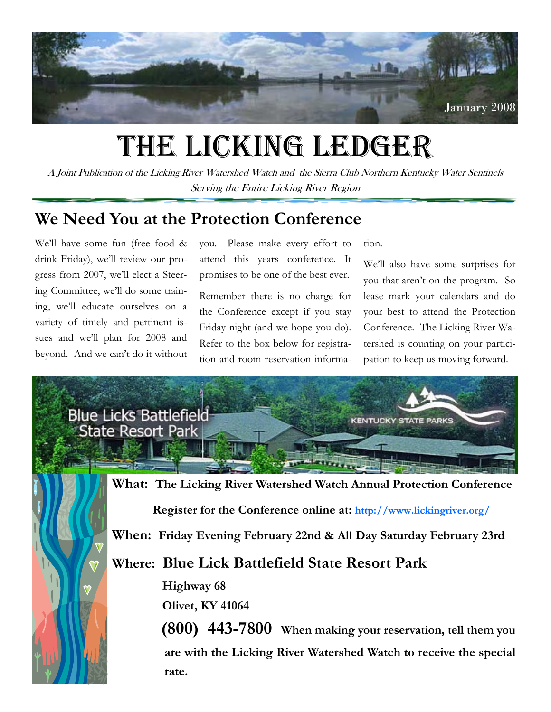

# THE LICKING LEDGER

A Joint Publication of the Licking River Watershed Watch and the Sierra Club Northern Kentucky Water Sentinels Serving the Entire Licking River Region

# **We Need You at the Protection Conference**

We'll have some fun (free food & drink Friday), we'll review our progress from 2007, we'll elect a Steering Committee, we'll do some training, we'll educate ourselves on a variety of timely and pertinent issues and we'll plan for 2008 and beyond. And we can't do it without you. Please make every effort to attend this years conference. It promises to be one of the best ever.

Remember there is no charge for the Conference except if you stay Friday night (and we hope you do). Refer to the box below for registration and room reservation information.

We'll also have some surprises for you that aren't on the program. So lease mark your calendars and do your best to attend the Protection Conference. The Licking River Watershed is counting on your participation to keep us moving forward.



**When: Friday Evening February 22nd & All Day Saturday February 23rd** 

**Where: Blue Lick Battlefield State Resort Park** 

 **Highway 68** 

 **Olivet, KY 41064** 

 **(800) 443-7800 When making your reservation, tell them you are with the Licking River Watershed Watch to receive the special rate.**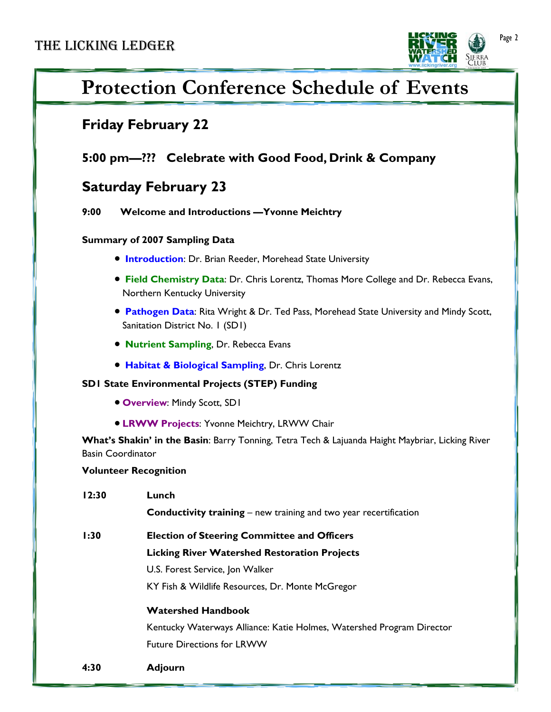

# **Protection Conference Schedule of Events**

## **Friday February 22**

### **5:00 pm—??? Celebrate with Good Food, Drink & Company**

## **Saturday February 23**

 **9:00 Welcome and Introductions —Yvonne Meichtry** 

#### **Summary of 2007 Sampling Data**

- **Introduction:** Dr. Brian Reeder, Morehead State University
- **Field Chemistry Data**: Dr. Chris Lorentz, Thomas More College and Dr. Rebecca Evans, Northern Kentucky University
- **Pathogen Data**: Rita Wright & Dr. Ted Pass, Morehead State University and Mindy Scott, Sanitation District No. 1 (SD1)
- **Nutrient Sampling**, Dr. Rebecca Evans
- **Habitat & Biological Sampling**, Dr. Chris Lorentz

#### **SD1 State Environmental Projects (STEP) Funding**

- **Overview**: Mindy Scott, SD1
- **LRWW Projects**: Yvonne Meichtry, LRWW Chair

**What's Shakin' in the Basin**: Barry Tonning, Tetra Tech & Lajuanda Haight Maybriar, Licking River Basin Coordinator

#### **Volunteer Recognition**

| 12:30 | Lunch<br><b>Conductivity training</b> – new training and two year recertification |
|-------|-----------------------------------------------------------------------------------|
| 1:30  | <b>Election of Steering Committee and Officers</b>                                |
|       | <b>Licking River Watershed Restoration Projects</b>                               |
|       | U.S. Forest Service, Jon Walker                                                   |
|       | KY Fish & Wildlife Resources, Dr. Monte McGregor                                  |
|       | <b>Watershed Handbook</b>                                                         |
|       | Kentucky Waterways Alliance: Katie Holmes, Watershed Program Director             |
|       | <b>Future Directions for LRWW</b>                                                 |
| 4:30  | <b>Adjourn</b>                                                                    |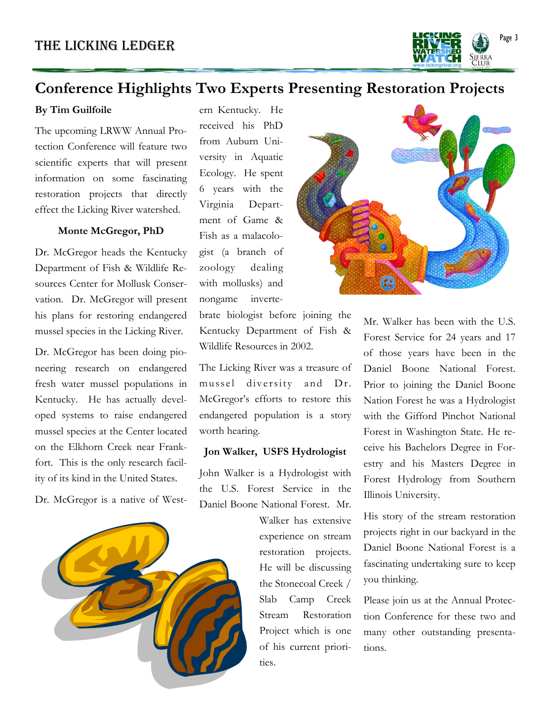

## **Conference Highlights Two Experts Presenting Restoration Projects**

#### **By Tim Guilfoile**

The upcoming LRWW Annual Protection Conference will feature two scientific experts that will present information on some fascinating restoration projects that directly effect the Licking River watershed.

#### **Monte McGregor, PhD**

Dr. McGregor heads the Kentucky Department of Fish & Wildlife Resources Center for Mollusk Conservation. Dr. McGregor will present his plans for restoring endangered mussel species in the Licking River.

Dr. McGregor has been doing pioneering research on endangered fresh water mussel populations in Kentucky. He has actually developed systems to raise endangered mussel species at the Center located on the Elkhorn Creek near Frankfort. This is the only research facility of its kind in the United States.

Dr. McGregor is a native of West-



ern Kentucky. He received his PhD from Auburn University in Aquatic Ecology. He spent 6 years with the Virginia Department of Game & Fish as a malacologist (a branch of zoology dealing with mollusks) and nongame inverte-

brate biologist before joining the Kentucky Department of Fish & Wildlife Resources in 2002.

The Licking River was a treasure of mussel diversity and Dr. McGregor's efforts to restore this endangered population is a story worth hearing.

#### **Jon Walker, USFS Hydrologist**

John Walker is a Hydrologist with the U.S. Forest Service in the Daniel Boone National Forest. Mr.

> Walker has extensive experience on stream restoration projects. He will be discussing the Stonecoal Creek / Slab Camp Creek Stream Restoration Project which is one of his current priorities.



Mr. Walker has been with the U.S. Forest Service for 24 years and 17 of those years have been in the Daniel Boone National Forest. Prior to joining the Daniel Boone Nation Forest he was a Hydrologist with the Gifford Pinchot National Forest in Washington State. He receive his Bachelors Degree in Forestry and his Masters Degree in Forest Hydrology from Southern Illinois University.

His story of the stream restoration projects right in our backyard in the Daniel Boone National Forest is a fascinating undertaking sure to keep you thinking.

Please join us at the Annual Protection Conference for these two and many other outstanding presentations.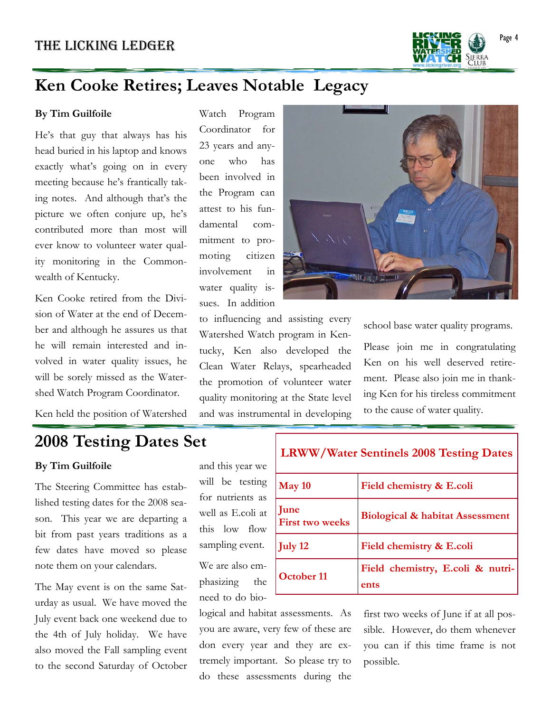

# **Ken Cooke Retires; Leaves Notable Legacy**

#### **By Tim Guilfoile**

He's that guy that always has his head buried in his laptop and knows exactly what's going on in every meeting because he's frantically taking notes. And although that's the picture we often conjure up, he's contributed more than most will ever know to volunteer water quality monitoring in the Commonwealth of Kentucky.

Ken Cooke retired from the Division of Water at the end of December and although he assures us that he will remain interested and involved in water quality issues, he will be sorely missed as the Watershed Watch Program Coordinator.

Ken held the position of Watershed

Watch Program Coordinator for 23 years and anyone who has been involved in the Program can attest to his fundamental commitment to promoting citizen involvement in water quality issues. In addition



to influencing and assisting every Watershed Watch program in Kentucky, Ken also developed the Clean Water Relays, spearheaded the promotion of volunteer water quality monitoring at the State level and was instrumental in developing

 $\Gamma$ 

school base water quality programs.

Please join me in congratulating Ken on his well deserved retirement. Please also join me in thanking Ken for his tireless commitment to the cause of water quality.

# **2008 Testing Dates Set**

#### **By Tim Guilfoile**

The Steering Committee has established testing dates for the 2008 season. This year we are departing a bit from past years traditions as a few dates have moved so please note them on your calendars.

The May event is on the same Saturday as usual. We have moved the July event back one weekend due to the 4th of July holiday. We have also moved the Fall sampling event to the second Saturday of October

and this year we will be testing for nutrients as well as E.coli at this low flow sampling event. We are also emphasizing the need to do bio-

 do these assessments during the logical and habitat assessments. As you are aware, very few of these are don every year and they are extremely important. So please try to

| <b>LRWW/Water Sentinels 2008 Testing Dates</b> |                                            |  |
|------------------------------------------------|--------------------------------------------|--|
| May 10                                         | Field chemistry & E.coli                   |  |
| June<br><b>First two weeks</b>                 | <b>Biological &amp; habitat Assessment</b> |  |
| <b>July 12</b>                                 | Field chemistry & E.coli                   |  |
| <b>October 11</b>                              | Field chemistry, E.coli & nutri-<br>ents   |  |

first two weeks of June if at all possible. However, do them whenever you can if this time frame is not possible.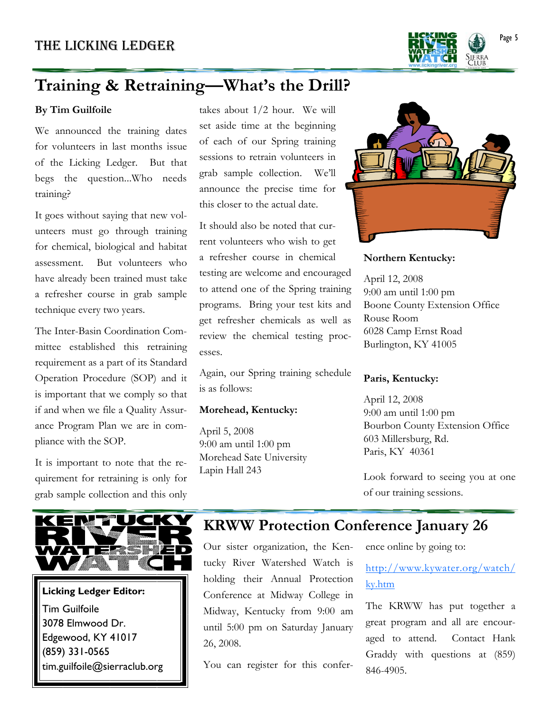

# **Training & Retraining—What's the Drill?**

#### **By Tim Guilfoile**

We announced the training dates for volunteers in last months issue of the Licking Ledger. But that begs the question...Who needs training?

It goes without saying that new volunteers must go through training for chemical, biological and habitat assessment. But volunteers who have already been trained must take a refresher course in grab sample technique every two years.

The Inter-Basin Coordination Committee established this retraining requirement as a part of its Standard Operation Procedure (SOP) and it is important that we comply so that if and when we file a Quality Assurance Program Plan we are in compliance with the SOP.

It is important to note that the requirement for retraining is only for grab sample collection and this only



### **Licking Ledger Editor:**  Tim Guilfoile 3078 Elmwood Dr. Edgewood, KY 41017 (859) 331-0565 tim.guilfoile@sierraclub.org

takes about 1/2 hour. We will set aside time at the beginning of each of our Spring training sessions to retrain volunteers in grab sample collection. We'll announce the precise time for this closer to the actual date.

It should also be noted that current volunteers who wish to get a refresher course in chemical testing are welcome and encouraged to attend one of the Spring training programs. Bring your test kits and get refresher chemicals as well as review the chemical testing processes.

Again, our Spring training schedule is as follows:

#### **Morehead, Kentucky:**

April 5, 2008 9:00 am until 1:00 pm Morehead Sate University Lapin Hall 243



#### **Northern Kentucky:**

April 12, 2008 9:00 am until 1:00 pm Boone County Extension Office Rouse Room 6028 Camp Ernst Road Burlington, KY 41005

#### **Paris, Kentucky:**

April 12, 2008 9:00 am until 1:00 pm Bourbon County Extension Office 603 Millersburg, Rd. Paris, KY 40361

Look forward to seeing you at one of our training sessions.

# **KRWW Protection Conference January 26**

Our sister organization, the Kentucky River Watershed Watch is holding their Annual Protection Conference at Midway College in Midway, Kentucky from 9:00 am until 5:00 pm on Saturday January 26, 2008.

You can register for this confer-

ence online by going to:

#### http://www.kywater.org/watch/ ky.htm

The KRWW has put together a great program and all are encouraged to attend. Contact Hank Graddy with questions at (859) 846-4905.